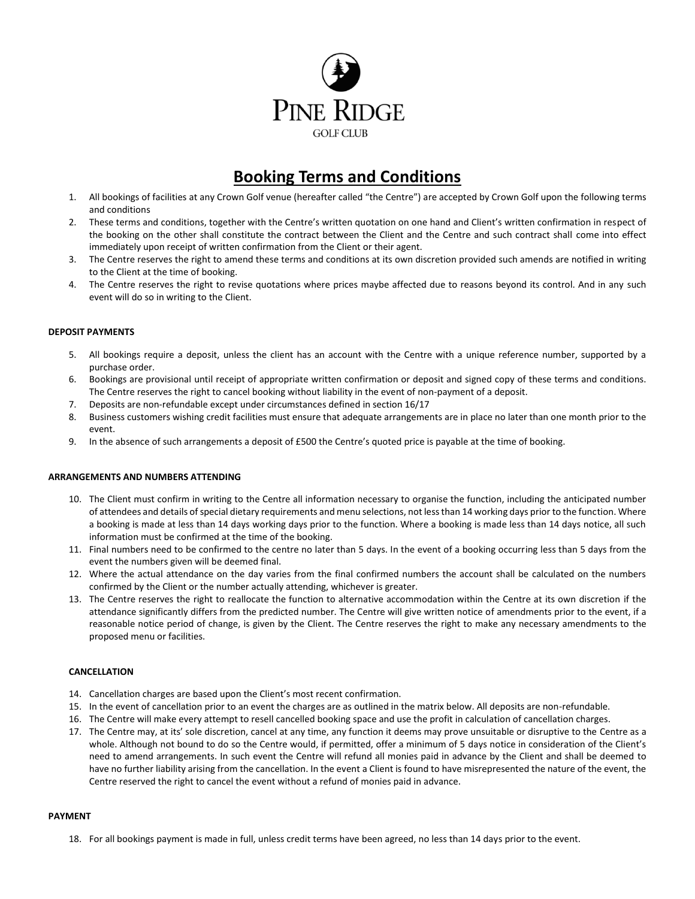

# **Booking Terms and Conditions**

- 1. All bookings of facilities at any Crown Golf venue (hereafter called "the Centre") are accepted by Crown Golf upon the following terms and conditions
- 2. These terms and conditions, together with the Centre's written quotation on one hand and Client's written confirmation in respect of the booking on the other shall constitute the contract between the Client and the Centre and such contract shall come into effect immediately upon receipt of written confirmation from the Client or their agent.
- 3. The Centre reserves the right to amend these terms and conditions at its own discretion provided such amends are notified in writing to the Client at the time of booking.
- 4. The Centre reserves the right to revise quotations where prices maybe affected due to reasons beyond its control. And in any such event will do so in writing to the Client.

# **DEPOSIT PAYMENTS**

- 5. All bookings require a deposit, unless the client has an account with the Centre with a unique reference number, supported by a purchase order.
- 6. Bookings are provisional until receipt of appropriate written confirmation or deposit and signed copy of these terms and conditions. The Centre reserves the right to cancel booking without liability in the event of non-payment of a deposit.
- 7. Deposits are non-refundable except under circumstances defined in section 16/17
- 8. Business customers wishing credit facilities must ensure that adequate arrangements are in place no later than one month prior to the event.
- 9. In the absence of such arrangements a deposit of £500 the Centre's quoted price is payable at the time of booking.

#### **ARRANGEMENTS AND NUMBERS ATTENDING**

- 10. The Client must confirm in writing to the Centre all information necessary to organise the function, including the anticipated number of attendees and details of special dietary requirements and menu selections, not less than 14 working days prior to the function. Where a booking is made at less than 14 days working days prior to the function. Where a booking is made less than 14 days notice, all such information must be confirmed at the time of the booking.
- 11. Final numbers need to be confirmed to the centre no later than 5 days. In the event of a booking occurring less than 5 days from the event the numbers given will be deemed final.
- 12. Where the actual attendance on the day varies from the final confirmed numbers the account shall be calculated on the numbers confirmed by the Client or the number actually attending, whichever is greater.
- 13. The Centre reserves the right to reallocate the function to alternative accommodation within the Centre at its own discretion if the attendance significantly differs from the predicted number. The Centre will give written notice of amendments prior to the event, if a reasonable notice period of change, is given by the Client. The Centre reserves the right to make any necessary amendments to the proposed menu or facilities.

### **CANCELLATION**

- 14. Cancellation charges are based upon the Client's most recent confirmation.
- 15. In the event of cancellation prior to an event the charges are as outlined in the matrix below. All deposits are non-refundable.
- 16. The Centre will make every attempt to resell cancelled booking space and use the profit in calculation of cancellation charges.
- 17. The Centre may, at its' sole discretion, cancel at any time, any function it deems may prove unsuitable or disruptive to the Centre as a whole. Although not bound to do so the Centre would, if permitted, offer a minimum of 5 days notice in consideration of the Client's need to amend arrangements. In such event the Centre will refund all monies paid in advance by the Client and shall be deemed to have no further liability arising from the cancellation. In the event a Client is found to have misrepresented the nature of the event, the Centre reserved the right to cancel the event without a refund of monies paid in advance.

#### **PAYMENT**

18. For all bookings payment is made in full, unless credit terms have been agreed, no less than 14 days prior to the event.